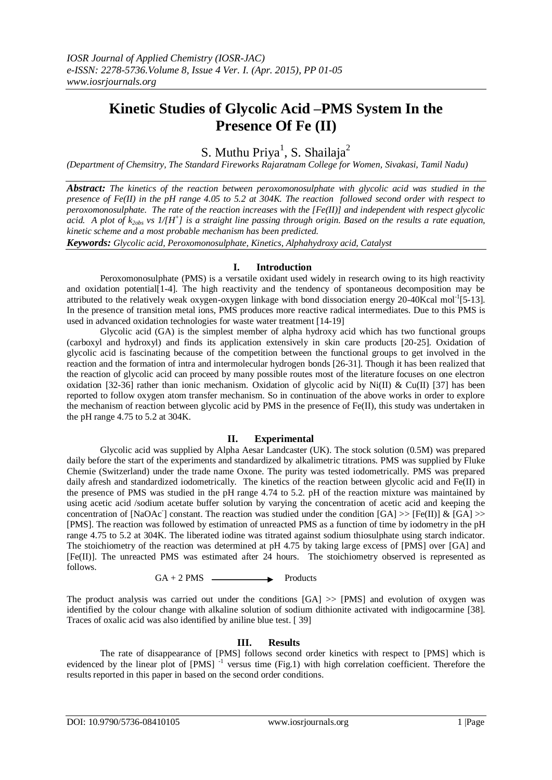# **Kinetic Studies of Glycolic Acid –PMS System In the Presence Of Fe (II)**

## S. Muthu Priya<sup>1</sup>, S. Shailaja<sup>2</sup>

*(Department of Chemsitry, The Standard Fireworks Rajaratnam College for Women, Sivakasi, Tamil Nadu)*

*Abstract: The kinetics of the reaction between peroxomonosulphate with glycolic acid was studied in the presence of Fe(II) in the pH range 4.05 to 5.2 at 304K. The reaction followed second order with respect to peroxomonosulphate. The rate of the reaction increases with the [Fe(II)] and independent with respect glycolic acid. A plot of k2obs vs 1/[H<sup>+</sup> ] is a straight line passing through origin. Based on the results a rate equation, kinetic scheme and a most probable mechanism has been predicted.* 

*Keywords: Glycolic acid, Peroxomonosulphate, Kinetics, Alphahydroxy acid, Catalyst*

#### **I. Introduction**

Peroxomonosulphate (PMS) is a versatile oxidant used widely in research owing to its high reactivity and oxidation potential[1-4]. The high reactivity and the tendency of spontaneous decomposition may be attributed to the relatively weak oxygen-oxygen linkage with bond dissociation energy 20-40Kcal mol<sup>-1</sup>[5-13]. In the presence of transition metal ions, PMS produces more reactive radical intermediates. Due to this PMS is used in advanced oxidation technologies for waste water treatment [14-19]

Glycolic acid (GA) is the simplest member of alpha hydroxy acid which has two functional groups (carboxyl and hydroxyl) and finds its application extensively in skin care products [20-25]. Oxidation of glycolic acid is fascinating because of the competition between the functional groups to get involved in the reaction and the formation of intra and intermolecular hydrogen bonds [26-31]. Though it has been realized that the reaction of glycolic acid can proceed by many possible routes most of the literature focuses on one electron oxidation [32-36] rather than ionic mechanism. Oxidation of glycolic acid by Ni(II) & Cu(II) [37] has been reported to follow oxygen atom transfer mechanism. So in continuation of the above works in order to explore the mechanism of reaction between glycolic acid by PMS in the presence of Fe(II), this study was undertaken in the pH range 4.75 to 5.2 at 304K.

## **II. Experimental**

Glycolic acid was supplied by Alpha Aesar Landcaster (UK). The stock solution (0.5M) was prepared daily before the start of the experiments and standardized by alkalimetric titrations. PMS was supplied by Fluke Chemie (Switzerland) under the trade name Oxone. The purity was tested iodometrically. PMS was prepared daily afresh and standardized iodometrically. The kinetics of the reaction between glycolic acid and Fe(II) in the presence of PMS was studied in the pH range 4.74 to 5.2. pH of the reaction mixture was maintained by using acetic acid /sodium acetate buffer solution by varying the concentration of acetic acid and keeping the concentration of [NaOAc<sup>-</sup>] constant. The reaction was studied under the condition [GA] >> [Fe(II)] & [GA] >> [PMS]. The reaction was followed by estimation of unreacted PMS as a function of time by iodometry in the pH range 4.75 to 5.2 at 304K. The liberated iodine was titrated against sodium thiosulphate using starch indicator. The stoichiometry of the reaction was determined at pH 4.75 by taking large excess of [PMS] over [GA] and [Fe(II)]. The unreacted PMS was estimated after 24 hours. The stoichiometry observed is represented as follows.

 $GA + 2$  PMS  $\longrightarrow$  Products

The product analysis was carried out under the conditions  $[GA] \gg [PMS]$  and evolution of oxygen was identified by the colour change with alkaline solution of sodium dithionite activated with indigocarmine [38]. Traces of oxalic acid was also identified by aniline blue test. [ 39]

## **III. Results**

The rate of disappearance of [PMS] follows second order kinetics with respect to [PMS] which is evidenced by the linear plot of [PMS]<sup>-1</sup> versus time (Fig.1) with high correlation coefficient. Therefore the results reported in this paper in based on the second order conditions.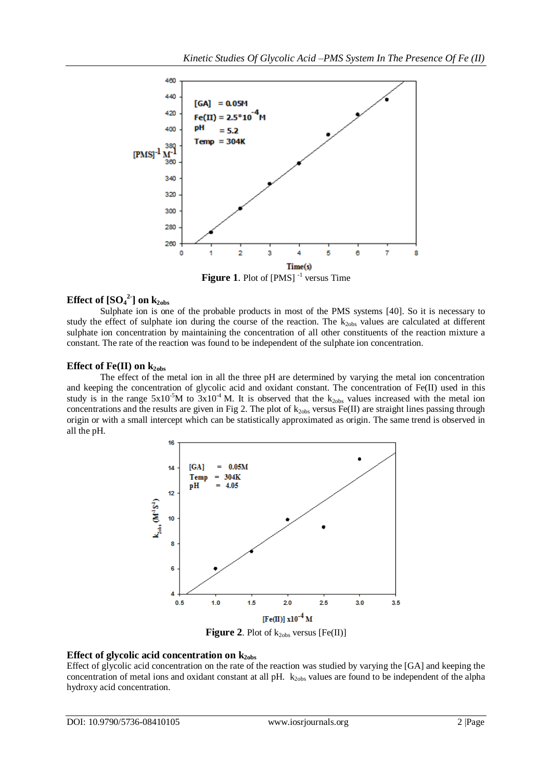

## **Effect** of  $[SO_4^2]$  on  $k_{2obs}$

Sulphate ion is one of the probable products in most of the PMS systems [40]. So it is necessary to study the effect of sulphate ion during the course of the reaction. The  $k_{2obs}$  values are calculated at different sulphate ion concentration by maintaining the concentration of all other constituents of the reaction mixture a constant. The rate of the reaction was found to be independent of the sulphate ion concentration.

## Effect of Fe(II) on  $k_{2obs}$

The effect of the metal ion in all the three pH are determined by varying the metal ion concentration and keeping the concentration of glycolic acid and oxidant constant. The concentration of Fe(II) used in this study is in the range  $5x10^{-5}M$  to  $3x10^{-4}M$ . It is observed that the k<sub>2obs</sub> values increased with the metal ion concentrations and the results are given in Fig 2. The plot of  $k_{2obs}$  versus Fe(II) are straight lines passing through origin or with a small intercept which can be statistically approximated as origin. The same trend is observed in all the pH.



**Figure** 2. Plot of  $k_{2obs}$  versus [Fe(II)]

## Effect of glycolic acid concentration on  $k_{2obs}$

Effect of glycolic acid concentration on the rate of the reaction was studied by varying the [GA] and keeping the concentration of metal ions and oxidant constant at all pH.  $k_{2obs}$  values are found to be independent of the alpha hydroxy acid concentration.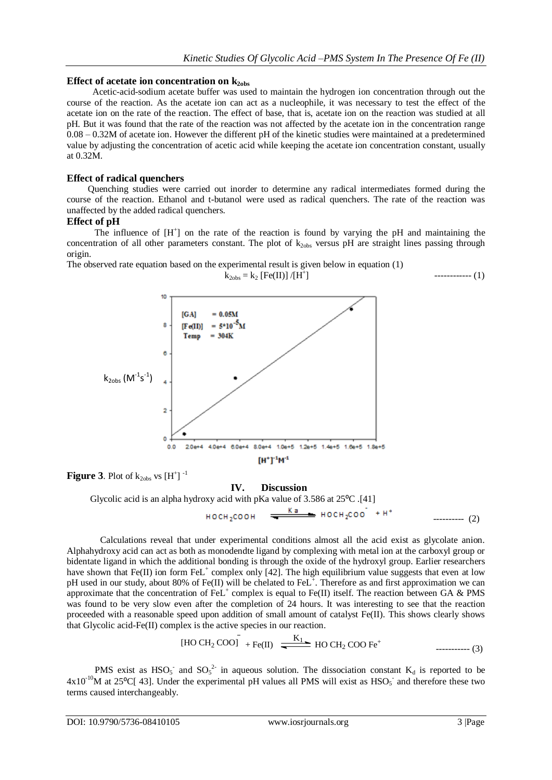#### Effect of acetate ion concentration on  $k_{2obs}$

 Acetic-acid-sodium acetate buffer was used to maintain the hydrogen ion concentration through out the course of the reaction. As the acetate ion can act as a nucleophile, it was necessary to test the effect of the acetate ion on the rate of the reaction. The effect of base, that is, acetate ion on the reaction was studied at all pH. But it was found that the rate of the reaction was not affected by the acetate ion in the concentration range 0.08 – 0.32M of acetate ion. However the different pH of the kinetic studies were maintained at a predetermined value by adjusting the concentration of acetic acid while keeping the acetate ion concentration constant, usually at 0.32M.

#### **Effect of radical quenchers**

 Quenching studies were carried out inorder to determine any radical intermediates formed during the course of the reaction. Ethanol and t-butanol were used as radical quenchers. The rate of the reaction was unaffected by the added radical quenchers.

#### **Effect of pH**

The influence of  $[H^+]$  on the rate of the reaction is found by varying the pH and maintaining the concentration of all other parameters constant. The plot of  $k_{2obs}$  versus pH are straight lines passing through origin.

The observed rate equation based on the experimental result is given below in equation (1)  $k_{2obs} = k_2$  [Fe(II)] /[H<sup>+</sup>]



**Figure 3**. Plot of  $k_{2obs}$  vs  $[H^+]$ <sup>-1</sup>

**IV. Discussion**

Glycolic acid is an alpha hydroxy acid with pKa value of  $3.586$  at  $25^{\circ}$ C.[41]

---------- (2)

Calculations reveal that under experimental conditions almost all the acid exist as glycolate anion. Alphahydroxy acid can act as both as monodendte ligand by complexing with metal ion at the carboxyl group or bidentate ligand in which the additional bonding is through the oxide of the hydroxyl group. Earlier researchers have shown that Fe(II) ion form FeL<sup>+</sup> complex only [42]. The high equilibrium value suggests that even at low pH used in our study, about 80% of Fe(II) will be chelated to FeL<sup>+</sup>. Therefore as and first approximation we can approximate that the concentration of  $FeL^+$  complex is equal to  $Fe(II)$  itself. The reaction between GA & PMS was found to be very slow even after the completion of 24 hours. It was interesting to see that the reaction proceeded with a reasonable speed upon addition of small amount of catalyst Fe(II). This shows clearly shows that Glycolic acid-Fe(II) complex is the active species in our reaction.

[HO CH<sub>2</sub> COO] 
$$
+ Fe(II)
$$
  $\xrightarrow{K_1}$  HO CH<sub>2</sub> COO Fe<sup>+</sup> \n $\qquad$  3)

PMS exist as  $HSO_5^-$  and  $SO_5^2$  in aqueous solution. The dissociation constant  $K_d$  is reported to be  $4x10^{-10}$ M at 25<sup>o</sup>C[43]. Under the experimental pH values all PMS will exist as HSO<sub>5</sub> and therefore these two terms caused interchangeably.

] ------------ (1)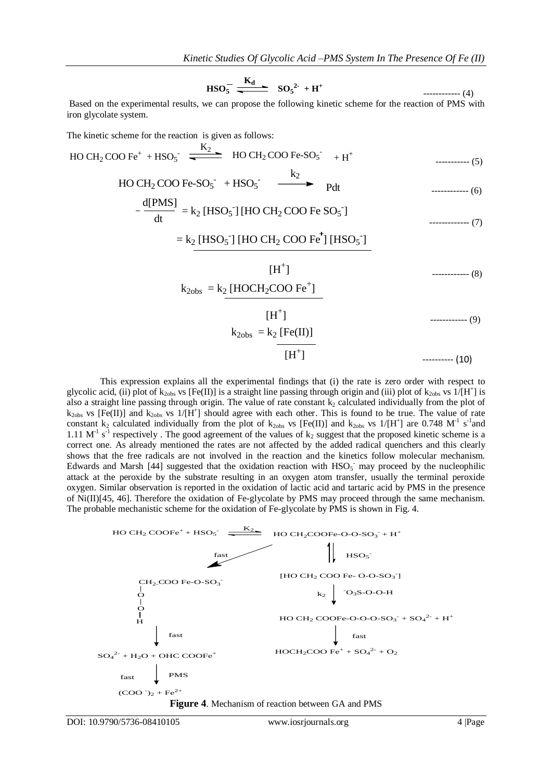$$
HSO_5^- \xrightarrow{\mathbf{K}_d} \qquad SO_5^{2}^{\circ} + \mathbf{H}^+ \qquad (4)
$$

Based on the experimental results, we can propose the following kinetic scheme for the reaction of PMS with iron glycolate system.

The kinetic scheme for the reaction is given as follows:

$$
HO CH_{2}COO Fe^{+} + HSO_{5}^{-} \xrightarrow{K_{2}} HO CH_{2}COO Fe-SO_{5}^{-} + H^{+} \xrightarrow{\text{........(5)}}
$$
  
\n
$$
HO CH_{2}COO Fe-SO_{5}^{-} + HSO_{5}^{-} \xrightarrow{k_{2}} Pdt \xrightarrow{\text{........(6)}}
$$
  
\n
$$
-\frac{d[PMS]}{dt} = k_{2} [HSO_{5}^{-}] [HO CH_{2} COO Fe^{+}] [HSO_{5}^{-}] \xrightarrow{\text{........(7)}}
$$
  
\n
$$
= k_{2} [HSO_{5}^{-}] [HO CH_{2} COO Fe^{+}] \xrightarrow{\text{........(8)}}
$$
  
\n
$$
[H^{+}] \xrightarrow{\text{........(8)}}
$$
  
\n
$$
k_{2obs} = k_{2} [Fe(II)] \xrightarrow{\text{[H^{+}]}}
$$
  
\n
$$
[H^{+}] \xrightarrow{\text{........(9)}}
$$
  
\n
$$
[H^{+}] \xrightarrow{\text{........(9)}}
$$
  
\n
$$
[H^{+}] \xrightarrow{\text{........(10)}}
$$

This expression explains all the experimental findings that (i) the rate is zero order with respect to glycolic acid, (ii) plot of  $k_{2obs}$  vs [Fe(II)] is a straight line passing through origin and (iii) plot of  $k_{2obs}$  vs 1/[H<sup>+</sup>] is also a straight line passing through origin. The value of rate constant  $k<sub>2</sub>$  calculated individually from the plot of  $k_{2obs}$  vs [Fe(II)] and  $k_{2obs}$  vs 1/[H<sup>+</sup>] should agree with each other. This is found to be true. The value of rate constant  $k_2$  calculated individually from the plot of  $k_{2obs}$  vs [Fe(II)] and  $k_{2obs}$  vs 1/[H<sup>+</sup>] are 0.748 M<sup>-1</sup> s<sup>-1</sup>and 1.11  $M^{-1}$  s<sup>-1</sup> respectively. The good agreement of the values of  $k_2$  suggest that the proposed kinetic scheme is a correct one. As already mentioned the rates are not affected by the added radical quenchers and this clearly shows that the free radicals are not involved in the reaction and the kinetics follow molecular mechanism. Edwards and Marsh [44] suggested that the oxidation reaction with  $HSO_5^-$  may proceed by the nucleophilic attack at the peroxide by the substrate resulting in an oxygen atom transfer, usually the terminal peroxide oxygen. Similar observation is reported in the oxidation of lactic acid and tartaric acid by PMS in the presence of Ni(II)[45, 46]. Therefore the oxidation of Fe-glycolate by PMS may proceed through the same mechanism. The probable mechanistic scheme for the oxidation of Fe-glycolate by PMS is shown in Fig. 4.